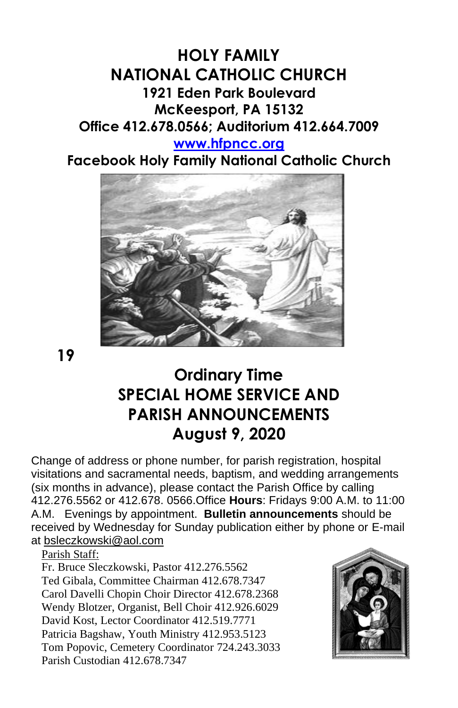## **HOLY FAMILY NATIONAL CATHOLIC CHURCH 1921 Eden Park Boulevard McKeesport, PA 15132 Office 412.678.0566; Auditorium 412.664.7009 [www.hfpncc.org](http://www.hfpncc.org/)**

**Facebook Holy Family National Catholic Church**



**19**

# **Ordinary Time SPECIAL HOME SERVICE AND PARISH ANNOUNCEMENTS August 9, 2020**

Change of address or phone number, for parish registration, hospital visitations and sacramental needs, baptism, and wedding arrangements (six months in advance), please contact the Parish Office by calling 412.276.5562 or 412.678. 0566.Office **Hours**: Fridays 9:00 A.M. to 11:00 A.M. Evenings by appointment. **Bulletin announcements** should be received by Wednesday for Sunday publication either by phone or E-mail at [bsleczkowski@aol.com](mailto:bsleczkowski@aol.com)

Parish Staff:

Fr. Bruce Sleczkowski, Pastor 412.276.5562 Ted Gibala, Committee Chairman 412.678.7347 Carol Davelli Chopin Choir Director 412.678.2368 Wendy Blotzer, Organist, Bell Choir 412.926.6029 David Kost, Lector Coordinator 412.519.7771 Patricia Bagshaw, Youth Ministry 412.953.5123 Tom Popovic, Cemetery Coordinator 724.243.3033 Parish Custodian 412.678.7347

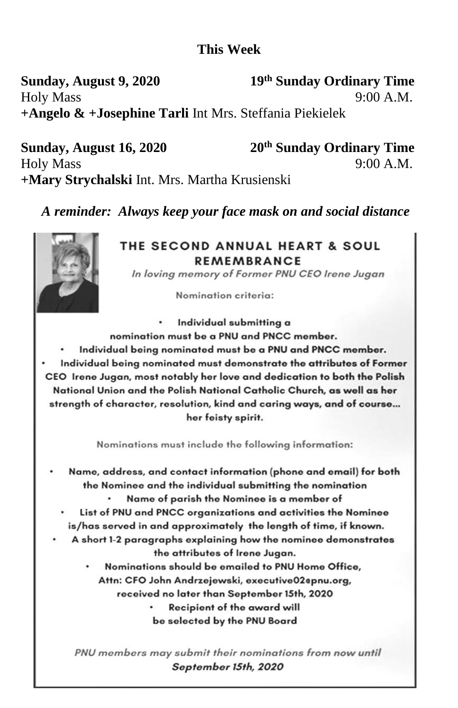### **This Week**

Sunday, August 9, 2020 19th Sunday Ordinary Time  $9.00 \text{ A} \text{ M}$ **Holy Mass** +Angelo & +Josephine Tarli Int Mrs. Steffania Piekielek

20<sup>th</sup> Sunday Ordinary Time Sunday, August 16, 2020 **Holy Mass** +Mary Strychalski Int. Mrs. Martha Krusienski

A reminder: Always keep your face mask on and social distance

#### THE SECOND ANNUAL HEART & SOUL **REMEMBRANCE**

In loving memory of Former PNU CEO Irene Jugan

 $9:00 A.M.$ 

Nomination criteria:

Individual submitting a

- nomination must be a PNU and PNCC member.
- Individual being nominated must be a PNU and PNCC member.
- Individual being nominated must demonstrate the attributes of Former CEO Irene Jugan, most notably her love and dedication to both the Polish National Union and the Polish National Catholic Church, as well as her strength of character, resolution, kind and caring ways, and of course... her feisty spirit.

Nominations must include the following information:

- Name, address, and contact information (phone and email) for both the Nominee and the individual submitting the nomination
	- Name of parish the Nominee is a member of
	- List of PNU and PNCC organizations and activities the Nominee is/has served in and approximately the length of time, if known.
- A short 1-2 paragraphs explaining how the nominee demonstrates the attributes of Irene Jugan.

Nominations should be emailed to PNU Home Office. Attn: CFO John Andrzejewski, executive02epnu.org, received no later than September 15th, 2020

> **Recipient of the award will** be selected by the PNU Board

PNU members may submit their nominations from now until September 15th, 2020